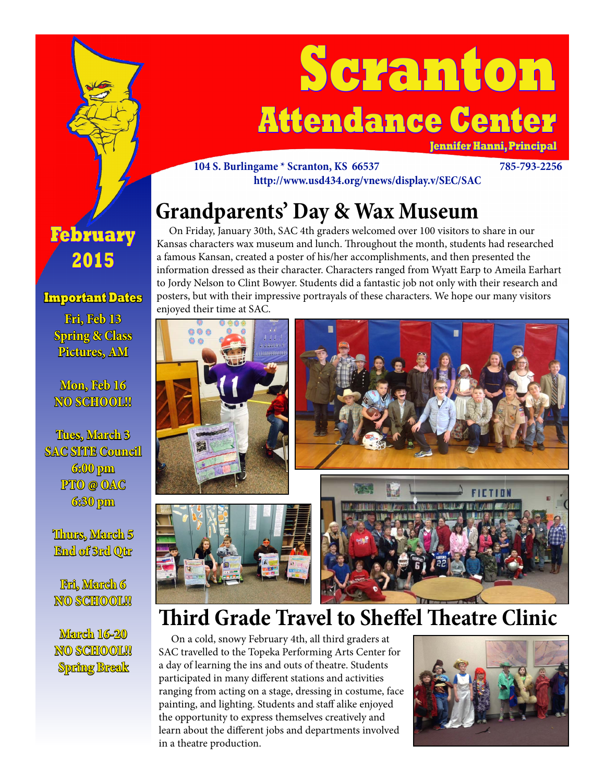

# **Scranton Attendance Center**

**Jennifer Hanni, Principal**

#### **104 S. Burlingame \* Scranton, KS 66537 785-793-2256 http://www.usd434.org/vnews/display.v/SEC/SAC**

## **Grandparents' Day & Wax Museum**

 On Friday, January 30th, SAC 4th graders welcomed over 100 visitors to share in our Kansas characters wax museum and lunch. Throughout the month, students had researched a famous Kansan, created a poster of his/her accomplishments, and then presented the information dressed as their character. Characters ranged from Wyatt Earp to Ameila Earhart to Jordy Nelson to Clint Bowyer. Students did a fantastic job not only with their research and posters, but with their impressive portrayals of these characters. We hope our many visitors enjoyed their time at SAC.



### **Third Grade Travel to Sheffel Theatre Clinic**

 On a cold, snowy February 4th, all third graders at SAC travelled to the Topeka Performing Arts Center for a day of learning the ins and outs of theatre. Students participated in many different stations and activities ranging from acting on a stage, dressing in costume, face painting, and lighting. Students and staff alike enjoyed the opportunity to express themselves creatively and learn about the different jobs and departments involved in a theatre production.



### **February 2015**

### **Important Dates**

**Fri, Feb 13 Spring & Class Pictures, AM**

**Mon, Feb 16 NO SCHOOL!!**

**Tues, March 3 SAC SITE Council 6:00 pm PTO @ OAC 6:30 pm**

**Thurs, March 5 End of 3rd Qtr**

**Fri, March 6** NO SCHOOL!!

**March 16-20 NO SCHOOL!! Spring Break**